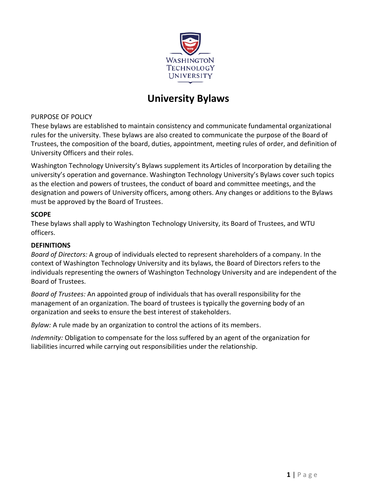

# **University Bylaws**

#### PURPOSE OF POLICY

These bylaws are established to maintain consistency and communicate fundamental organizational rules for the university. These bylaws are also created to communicate the purpose of the Board of Trustees, the composition of the board, duties, appointment, meeting rules of order, and definition of University Officers and their roles.

Washington Technology University's Bylaws supplement its Articles of Incorporation by detailing the university's operation and governance. Washington Technology University's Bylaws cover such topics as the election and powers of trustees, the conduct of board and committee meetings, and the designation and powers of University officers, among others. Any changes or additions to the Bylaws must be approved by the Board of Trustees.

#### **SCOPE**

These bylaws shall apply to Washington Technology University, its Board of Trustees, and WTU officers.

## **DEFINITIONS**

*Board of Directors:* A group of individuals elected to represent shareholders of a company. In the context of Washington Technology University and its bylaws, the Board of Directors refers to the individuals representing the owners of Washington Technology University and are independent of the Board of Trustees.

*Board of Trustees:* An appointed group of individuals that has overall responsibility for the management of an organization. The board of trustees is typically the governing body of an organization and seeks to ensure the best interest of stakeholders.

*Bylaw:* A rule made by an organization to control the actions of its members.

*Indemnity:* Obligation to compensate for the loss suffered by an agent of the organization for liabilities incurred while carrying out responsibilities under the relationship.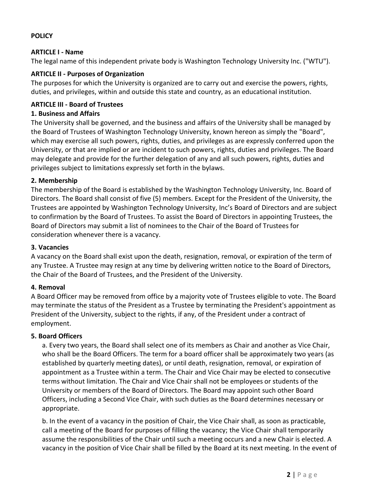## **POLICY**

#### **ARTICLE I - Name**

The legal name of this independent private body is Washington Technology University Inc. ("WTU").

## **ARTICLE II - Purposes of Organization**

The purposes for which the University is organized are to carry out and exercise the powers, rights, duties, and privileges, within and outside this state and country, as an educational institution.

## **ARTICLE III - Board of Trustees**

#### **1. Business and Affairs**

The University shall be governed, and the business and affairs of the University shall be managed by the Board of Trustees of Washington Technology University, known hereon as simply the "Board", which may exercise all such powers, rights, duties, and privileges as are expressly conferred upon the University, or that are implied or are incident to such powers, rights, duties and privileges. The Board may delegate and provide for the further delegation of any and all such powers, rights, duties and privileges subject to limitations expressly set forth in the bylaws.

#### **2. Membership**

The membership of the Board is established by the Washington Technology University, Inc. Board of Directors. The Board shall consist of five (5) members. Except for the President of the University, the Trustees are appointed by Washington Technology University, Inc's Board of Directors and are subject to confirmation by the Board of Trustees. To assist the Board of Directors in appointing Trustees, the Board of Directors may submit a list of nominees to the Chair of the Board of Trustees for consideration whenever there is a vacancy.

#### **3. Vacancies**

A vacancy on the Board shall exist upon the death, resignation, removal, or expiration of the term of any Trustee. A Trustee may resign at any time by delivering written notice to the Board of Directors, the Chair of the Board of Trustees, and the President of the University.

#### **4. Removal**

A Board Officer may be removed from office by a majority vote of Trustees eligible to vote. The Board may terminate the status of the President as a Trustee by terminating the President's appointment as President of the University, subject to the rights, if any, of the President under a contract of employment.

#### **5. Board Officers**

a. Every two years, the Board shall select one of its members as Chair and another as Vice Chair, who shall be the Board Officers. The term for a board officer shall be approximately two years (as established by quarterly meeting dates), or until death, resignation, removal, or expiration of appointment as a Trustee within a term. The Chair and Vice Chair may be elected to consecutive terms without limitation. The Chair and Vice Chair shall not be employees or students of the University or members of the Board of Directors. The Board may appoint such other Board Officers, including a Second Vice Chair, with such duties as the Board determines necessary or appropriate.

b. In the event of a vacancy in the position of Chair, the Vice Chair shall, as soon as practicable, call a meeting of the Board for purposes of filling the vacancy; the Vice Chair shall temporarily assume the responsibilities of the Chair until such a meeting occurs and a new Chair is elected. A vacancy in the position of Vice Chair shall be filled by the Board at its next meeting. In the event of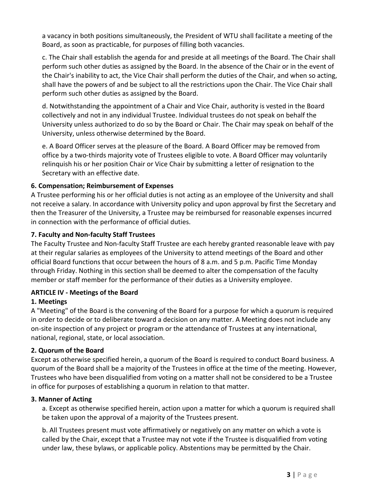a vacancy in both positions simultaneously, the President of WTU shall facilitate a meeting of the Board, as soon as practicable, for purposes of filling both vacancies.

c. The Chair shall establish the agenda for and preside at all meetings of the Board. The Chair shall perform such other duties as assigned by the Board. In the absence of the Chair or in the event of the Chair's inability to act, the Vice Chair shall perform the duties of the Chair, and when so acting, shall have the powers of and be subject to all the restrictions upon the Chair. The Vice Chair shall perform such other duties as assigned by the Board.

d. Notwithstanding the appointment of a Chair and Vice Chair, authority is vested in the Board collectively and not in any individual Trustee. Individual trustees do not speak on behalf the University unless authorized to do so by the Board or Chair. The Chair may speak on behalf of the University, unless otherwise determined by the Board.

e. A Board Officer serves at the pleasure of the Board. A Board Officer may be removed from office by a two‐thirds majority vote of Trustees eligible to vote. A Board Officer may voluntarily relinquish his or her position Chair or Vice Chair by submitting a letter of resignation to the Secretary with an effective date.

# **6. Compensation; Reimbursement of Expenses**

A Trustee performing his or her official duties is not acting as an employee of the University and shall not receive a salary. In accordance with University policy and upon approval by first the Secretary and then the Treasurer of the University, a Trustee may be reimbursed for reasonable expenses incurred in connection with the performance of official duties.

# **7. Faculty and Non‐faculty Staff Trustees**

The Faculty Trustee and Non‐faculty Staff Trustee are each hereby granted reasonable leave with pay at their regular salaries as employees of the University to attend meetings of the Board and other official Board functions that occur between the hours of 8 a.m. and 5 p.m. Pacific Time Monday through Friday. Nothing in this section shall be deemed to alter the compensation of the faculty member or staff member for the performance of their duties as a University employee.

# **ARTICLE IV - Meetings of the Board**

# **1. Meetings**

A "Meeting" of the Board is the convening of the Board for a purpose for which a quorum is required in order to decide or to deliberate toward a decision on any matter. A Meeting does not include any on‐site inspection of any project or program or the attendance of Trustees at any international, national, regional, state, or local association.

# **2. Quorum of the Board**

Except as otherwise specified herein, a quorum of the Board is required to conduct Board business. A quorum of the Board shall be a majority of the Trustees in office at the time of the meeting. However, Trustees who have been disqualified from voting on a matter shall not be considered to be a Trustee in office for purposes of establishing a quorum in relation to that matter.

# **3. Manner of Acting**

a. Except as otherwise specified herein, action upon a matter for which a quorum is required shall be taken upon the approval of a majority of the Trustees present.

b. All Trustees present must vote affirmatively or negatively on any matter on which a vote is called by the Chair, except that a Trustee may not vote if the Trustee is disqualified from voting under law, these bylaws, or applicable policy. Abstentions may be permitted by the Chair.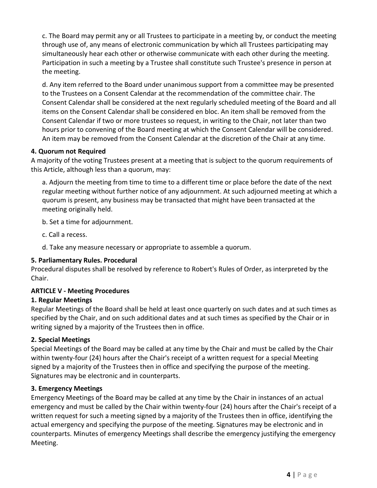c. The Board may permit any or all Trustees to participate in a meeting by, or conduct the meeting through use of, any means of electronic communication by which all Trustees participating may simultaneously hear each other or otherwise communicate with each other during the meeting. Participation in such a meeting by a Trustee shall constitute such Trustee's presence in person at the meeting.

d. Any item referred to the Board under unanimous support from a committee may be presented to the Trustees on a Consent Calendar at the recommendation of the committee chair. The Consent Calendar shall be considered at the next regularly scheduled meeting of the Board and all items on the Consent Calendar shall be considered en bloc. An item shall be removed from the Consent Calendar if two or more trustees so request, in writing to the Chair, not later than two hours prior to convening of the Board meeting at which the Consent Calendar will be considered. An item may be removed from the Consent Calendar at the discretion of the Chair at any time.

# **4. Quorum not Required**

A majority of the voting Trustees present at a meeting that is subject to the quorum requirements of this Article, although less than a quorum, may:

a. Adjourn the meeting from time to time to a different time or place before the date of the next regular meeting without further notice of any adjournment. At such adjourned meeting at which a quorum is present, any business may be transacted that might have been transacted at the meeting originally held.

b. Set a time for adjournment.

c. Call a recess.

d. Take any measure necessary or appropriate to assemble a quorum.

# **5. Parliamentary Rules. Procedural**

Procedural disputes shall be resolved by reference to Robert's Rules of Order, as interpreted by the Chair.

# **ARTICLE V - Meeting Procedures**

# **1. Regular Meetings**

Regular Meetings of the Board shall be held at least once quarterly on such dates and at such times as specified by the Chair, and on such additional dates and at such times as specified by the Chair or in writing signed by a majority of the Trustees then in office.

# **2. Special Meetings**

Special Meetings of the Board may be called at any time by the Chair and must be called by the Chair within twenty-four (24) hours after the Chair's receipt of a written request for a special Meeting signed by a majority of the Trustees then in office and specifying the purpose of the meeting. Signatures may be electronic and in counterparts.

# **3. Emergency Meetings**

Emergency Meetings of the Board may be called at any time by the Chair in instances of an actual emergency and must be called by the Chair within twenty-four (24) hours after the Chair's receipt of a written request for such a meeting signed by a majority of the Trustees then in office, identifying the actual emergency and specifying the purpose of the meeting. Signatures may be electronic and in counterparts. Minutes of emergency Meetings shall describe the emergency justifying the emergency Meeting.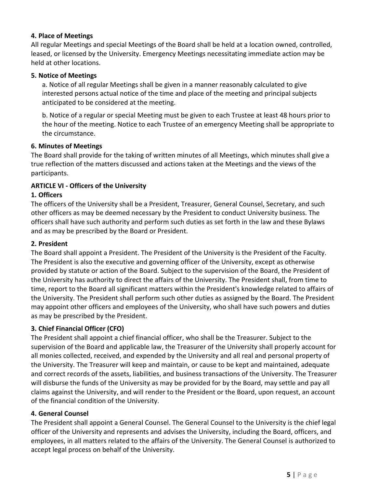## **4. Place of Meetings**

All regular Meetings and special Meetings of the Board shall be held at a location owned, controlled, leased, or licensed by the University. Emergency Meetings necessitating immediate action may be held at other locations.

#### **5. Notice of Meetings**

a. Notice of all regular Meetings shall be given in a manner reasonably calculated to give interested persons actual notice of the time and place of the meeting and principal subjects anticipated to be considered at the meeting.

b. Notice of a regular or special Meeting must be given to each Trustee at least 48 hours prior to the hour of the meeting. Notice to each Trustee of an emergency Meeting shall be appropriate to the circumstance.

#### **6. Minutes of Meetings**

The Board shall provide for the taking of written minutes of all Meetings, which minutes shall give a true reflection of the matters discussed and actions taken at the Meetings and the views of the participants.

#### **ARTICLE VI - Officers of the University**

# **1. Officers**

The officers of the University shall be a President, Treasurer, General Counsel, Secretary, and such other officers as may be deemed necessary by the President to conduct University business. The officers shall have such authority and perform such duties as set forth in the law and these Bylaws and as may be prescribed by the Board or President.

#### **2. President**

The Board shall appoint a President. The President of the University is the President of the Faculty. The President is also the executive and governing officer of the University, except as otherwise provided by statute or action of the Board. Subject to the supervision of the Board, the President of the University has authority to direct the affairs of the University. The President shall, from time to time, report to the Board all significant matters within the President's knowledge related to affairs of the University. The President shall perform such other duties as assigned by the Board. The President may appoint other officers and employees of the University, who shall have such powers and duties as may be prescribed by the President.

# **3. Chief Financial Officer (CFO)**

The President shall appoint a chief financial officer, who shall be the Treasurer. Subject to the supervision of the Board and applicable law, the Treasurer of the University shall properly account for all monies collected, received, and expended by the University and all real and personal property of the University. The Treasurer will keep and maintain, or cause to be kept and maintained, adequate and correct records of the assets, liabilities, and business transactions of the University. The Treasurer will disburse the funds of the University as may be provided for by the Board, may settle and pay all claims against the University, and will render to the President or the Board, upon request, an account of the financial condition of the University.

#### **4. General Counsel**

The President shall appoint a General Counsel. The General Counsel to the University is the chief legal officer of the University and represents and advises the University, including the Board, officers, and employees, in all matters related to the affairs of the University. The General Counsel is authorized to accept legal process on behalf of the University.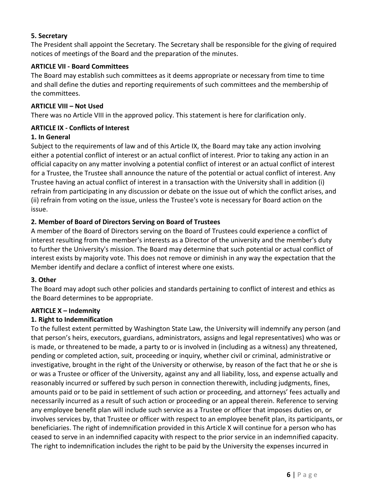#### **5. Secretary**

The President shall appoint the Secretary. The Secretary shall be responsible for the giving of required notices of meetings of the Board and the preparation of the minutes.

## **ARTICLE VII - Board Committees**

The Board may establish such committees as it deems appropriate or necessary from time to time and shall define the duties and reporting requirements of such committees and the membership of the committees.

#### **ARTICLE VIII – Not Used**

There was no Article VIII in the approved policy. This statement is here for clarification only.

#### **ARTICLE IX - Conflicts of Interest**

#### **1. In General**

Subject to the requirements of law and of this Article IX, the Board may take any action involving either a potential conflict of interest or an actual conflict of interest. Prior to taking any action in an official capacity on any matter involving a potential conflict of interest or an actual conflict of interest for a Trustee, the Trustee shall announce the nature of the potential or actual conflict of interest. Any Trustee having an actual conflict of interest in a transaction with the University shall in addition (i) refrain from participating in any discussion or debate on the issue out of which the conflict arises, and (ii) refrain from voting on the issue, unless the Trustee's vote is necessary for Board action on the issue.

#### **2. Member of Board of Directors Serving on Board of Trustees**

A member of the Board of Directors serving on the Board of Trustees could experience a conflict of interest resulting from the member's interests as a Director of the university and the member's duty to further the University's mission. The Board may determine that such potential or actual conflict of interest exists by majority vote. This does not remove or diminish in any way the expectation that the Member identify and declare a conflict of interest where one exists.

#### **3. Other**

The Board may adopt such other policies and standards pertaining to conflict of interest and ethics as the Board determines to be appropriate.

#### **ARTICLE X – Indemnity**

# **1. Right to Indemnification**

To the fullest extent permitted by Washington State Law, the University will indemnify any person (and that person's heirs, executors, guardians, administrators, assigns and legal representatives) who was or is made, or threatened to be made, a party to or is involved in (including as a witness) any threatened, pending or completed action, suit, proceeding or inquiry, whether civil or criminal, administrative or investigative, brought in the right of the University or otherwise, by reason of the fact that he or she is or was a Trustee or officer of the University, against any and all liability, loss, and expense actually and reasonably incurred or suffered by such person in connection therewith, including judgments, fines, amounts paid or to be paid in settlement of such action or proceeding, and attorneys' fees actually and necessarily incurred as a result of such action or proceeding or an appeal therein. Reference to serving any employee benefit plan will include such service as a Trustee or officer that imposes duties on, or involves services by, that Trustee or officer with respect to an employee benefit plan, its participants, or beneficiaries. The right of indemnification provided in this Article X will continue for a person who has ceased to serve in an indemnified capacity with respect to the prior service in an indemnified capacity. The right to indemnification includes the right to be paid by the University the expenses incurred in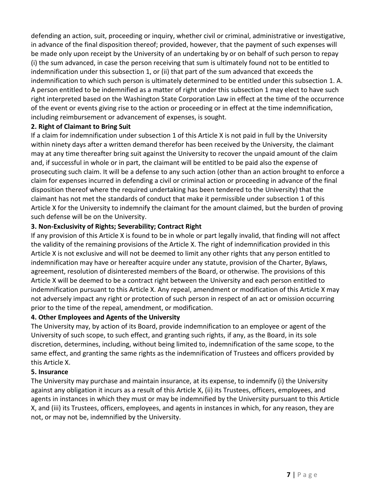defending an action, suit, proceeding or inquiry, whether civil or criminal, administrative or investigative, in advance of the final disposition thereof; provided, however, that the payment of such expenses will be made only upon receipt by the University of an undertaking by or on behalf of such person to repay (i) the sum advanced, in case the person receiving that sum is ultimately found not to be entitled to indemnification under this subsection 1, or (ii) that part of the sum advanced that exceeds the indemnification to which such person is ultimately determined to be entitled under this subsection 1. A. A person entitled to be indemnified as a matter of right under this subsection 1 may elect to have such right interpreted based on the Washington State Corporation Law in effect at the time of the occurrence of the event or events giving rise to the action or proceeding or in effect at the time indemnification, including reimbursement or advancement of expenses, is sought.

#### **2. Right of Claimant to Bring Suit**

If a claim for indemnification under subsection 1 of this Article X is not paid in full by the University within ninety days after a written demand therefor has been received by the University, the claimant may at any time thereafter bring suit against the University to recover the unpaid amount of the claim and, if successful in whole or in part, the claimant will be entitled to be paid also the expense of prosecuting such claim. It will be a defense to any such action (other than an action brought to enforce a claim for expenses incurred in defending a civil or criminal action or proceeding in advance of the final disposition thereof where the required undertaking has been tendered to the University) that the claimant has not met the standards of conduct that make it permissible under subsection 1 of this Article X for the University to indemnify the claimant for the amount claimed, but the burden of proving such defense will be on the University.

# **3. Non-Exclusivity of Rights; Severability; Contract Right**

If any provision of this Article X is found to be in whole or part legally invalid, that finding will not affect the validity of the remaining provisions of the Article X. The right of indemnification provided in this Article X is not exclusive and will not be deemed to limit any other rights that any person entitled to indemnification may have or hereafter acquire under any statute, provision of the Charter, Bylaws, agreement, resolution of disinterested members of the Board, or otherwise. The provisions of this Article X will be deemed to be a contract right between the University and each person entitled to indemnification pursuant to this Article X. Any repeal, amendment or modification of this Article X may not adversely impact any right or protection of such person in respect of an act or omission occurring prior to the time of the repeal, amendment, or modification.

#### **4. Other Employees and Agents of the University**

The University may, by action of its Board, provide indemnification to an employee or agent of the University of such scope, to such effect, and granting such rights, if any, as the Board, in its sole discretion, determines, including, without being limited to, indemnification of the same scope, to the same effect, and granting the same rights as the indemnification of Trustees and officers provided by this Article X.

#### **5. Insurance**

The University may purchase and maintain insurance, at its expense, to indemnify (i) the University against any obligation it incurs as a result of this Article X, (ii) its Trustees, officers, employees, and agents in instances in which they must or may be indemnified by the University pursuant to this Article X, and (iii) its Trustees, officers, employees, and agents in instances in which, for any reason, they are not, or may not be, indemnified by the University.